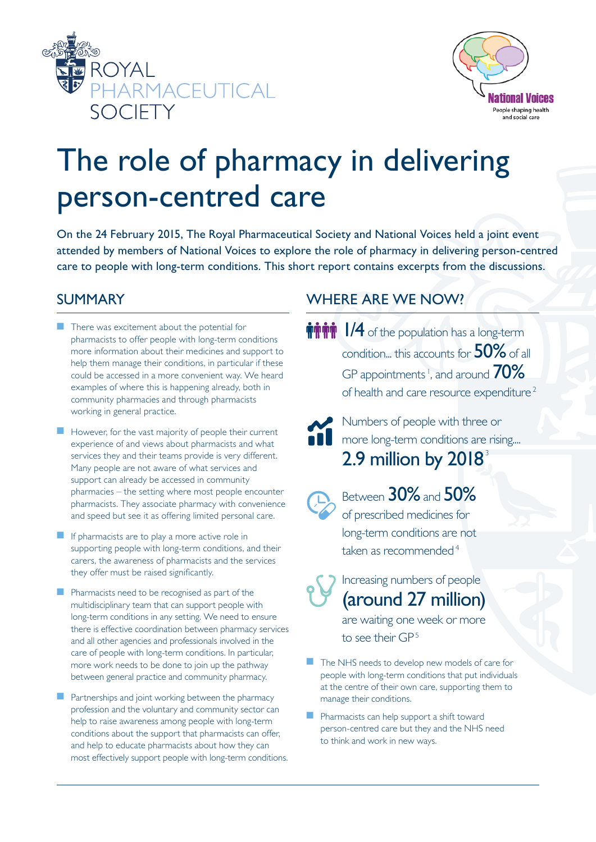



# The role of pharmacy in delivering person-centred care

On the 24 February 2015, The Royal Pharmaceutical Society and National Voices held a joint event attended by members of National Voices to explore the role of pharmacy in delivering person-centred care to people with long-term conditions. This short report contains excerpts from the discussions.

## SUMMARY

- $\blacksquare$  There was excitement about the potential for pharmacists to offer people with long-term conditions more information about their medicines and support to help them manage their conditions, in particular if these could be accessed in a more convenient way. We heard examples of where this is happening already, both in community pharmacies and through pharmacists working in general practice.
- $\blacksquare$  However, for the vast majority of people their current experience of and views about pharmacists and what services they and their teams provide is very different. Many people are not aware of what services and support can already be accessed in community pharmacies – the setting where most people encounter pharmacists. They associate pharmacy with convenience and speed but see it as offering limited personal care.
- If pharmacists are to play a more active role in supporting people with long-term conditions, and their carers, the awareness of pharmacists and the services they offer must be raised significantly.
- **n** Pharmacists need to be recognised as part of the multidisciplinary team that can support people with long-term conditions in any setting. We need to ensure there is effective coordination between pharmacy services and all other agencies and professionals involved in the care of people with long-term conditions. In particular, more work needs to be done to join up the pathway between general practice and community pharmacy.
- Partnerships and joint working between the pharmacy profession and the voluntary and community sector can help to raise awareness among people with long-term conditions about the support that pharmacists can offer, and help to educate pharmacists about how they can most effectively support people with long-term conditions.

# WHERE ARE WE NOW?

- **MHTM** 1/4 of the population has a long-term condition... this accounts for 50% of all GP appointments<sup>1</sup>, and around  $70\%$ of health and care resource expenditure <sup>2</sup>
	- Numbers of people with three or **n** more long-term conditions are rising.... 2.9 million by  $2018<sup>3</sup>$ 
		- Between 30% and 50% of prescribed medicines for long-term conditions are not taken as recommended $4$

Increasing numbers of people (around 27 million) are waiting one week or more

to see their GP<sup>5</sup>

- $\blacksquare$  The NHS needs to develop new models of care for people with long-term conditions that put individuals at the centre of their own care, supporting them to manage their conditions.
- n Pharmacists can help support a shift toward person-centred care but they and the NHS need to think and work in new ways.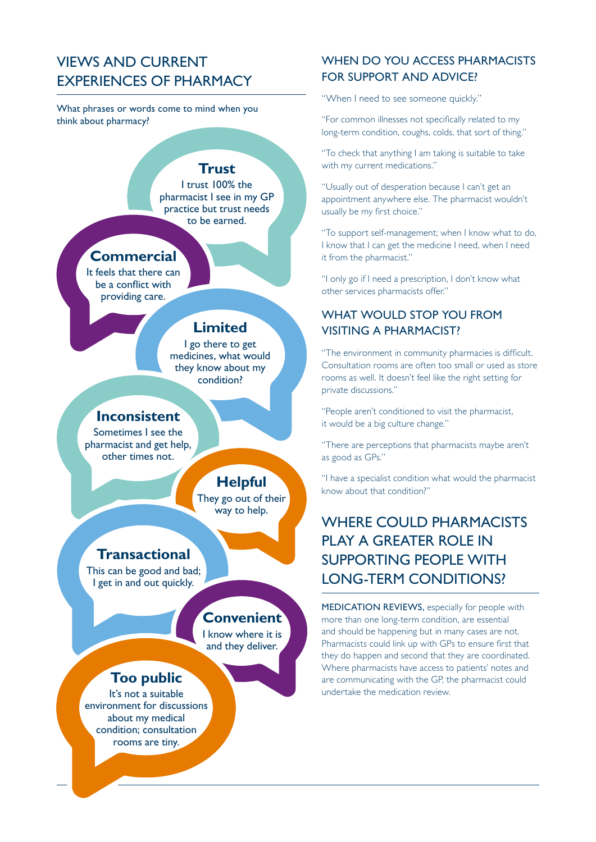# VIEWS AND CURRENT EXPERIENCES OF PHARMACY

What phrases or words come to mind when you think about pharmacy?

#### **Trust**

I trust 100% the pharmacist I see in my GP practice but trust needs to be earned.

## **Commercial**

It feels that there can be a conflict with providing care.

#### **Limited**

I go there to get medicines, what would they know about my condition?

#### **Inconsistent**

Sometimes I see the pharmacist and get help, other times not.

## **Helpful**

They go out of their way to help.

#### **Transactional**

This can be good and bad; I get in and out quickly.

## **Convenient**

I know where it is and they deliver.

## **Too public**

It's not a suitable environment for discussions about my medical condition; consultation rooms are tiny.

#### WHEN DO YOU ACCESS PHARMACISTS FOR SUPPORT AND ADVICE?

"When I need to see someone quickly."

"For common illnesses not specifically related to my long-term condition, coughs, colds, that sort of thing."

"To check that anything I am taking is suitable to take with my current medications."

"Usually out of desperation because I can't get an appointment anywhere else. The pharmacist wouldn't usually be my first choice."

"To support self-management; when I know what to do, I know that I can get the medicine I need, when I need it from the pharmacist."

"I only go if I need a prescription, I don't know what other services pharmacists offer."

## WHAT WOULD STOP YOU FROM VISITING A PHARMACIST?

"The environment in community pharmacies is difficult. Consultation rooms are often too small or used as store rooms as well. It doesn't feel like the right setting for private discussions."

"People aren't conditioned to visit the pharmacist, it would be a big culture change."

"There are perceptions that pharmacists maybe aren't as good as GPs."

"I have a specialist condition what would the pharmacist know about that condition?"

# WHERE COULD PHARMACISTS PLAY A GREATER ROLE IN SUPPORTING PEOPLE WITH LONG-TERM CONDITIONS?

MEDICATION REVIEWS, especially for people with more than one long-term condition, are essential and should be happening but in many cases are not. Pharmacists could link up with GPs to ensure first that they do happen and second that they are coordinated. Where pharmacists have access to patients' notes and are communicating with the GP, the pharmacist could undertake the medication review.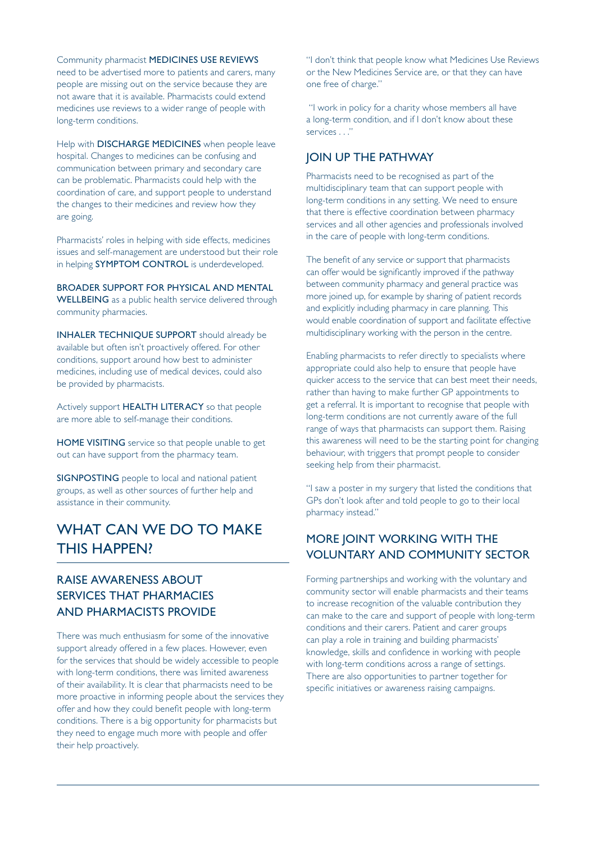Community pharmacist MEDICINES USE REVIEWS need to be advertised more to patients and carers, many people are missing out on the service because they are not aware that it is available. Pharmacists could extend medicines use reviews to a wider range of people with long-term conditions.

Help with **DISCHARGE MEDICINES** when people leave hospital. Changes to medicines can be confusing and communication between primary and secondary care can be problematic. Pharmacists could help with the coordination of care, and support people to understand the changes to their medicines and review how they are going.

Pharmacists' roles in helping with side effects, medicines issues and self-management are understood but their role in helping **SYMPTOM CONTROL** is underdeveloped.

BROADER SUPPORT FOR PHYSICAL AND MENTAL WELLBEING as a public health service delivered through community pharmacies.

INHALER TECHNIQUE SUPPORT should already be available but often isn't proactively offered. For other conditions, support around how best to administer medicines, including use of medical devices, could also be provided by pharmacists.

Actively support HEALTH LITERACY so that people are more able to self-manage their conditions.

HOME VISITING service so that people unable to get out can have support from the pharmacy team.

SIGNPOSTING people to local and national patient groups, as well as other sources of further help and assistance in their community.

# WHAT CAN WE DO TO MAKE THIS HAPPEN?

#### RAISE AWARENESS ABOUT SERVICES THAT PHARMACIES AND PHARMACISTS PROVIDE

There was much enthusiasm for some of the innovative support already offered in a few places. However, even for the services that should be widely accessible to people with long-term conditions, there was limited awareness of their availability. It is clear that pharmacists need to be more proactive in informing people about the services they offer and how they could benefit people with long-term conditions. There is a big opportunity for pharmacists but they need to engage much more with people and offer their help proactively.

"I don't think that people know what Medicines Use Reviews or the New Medicines Service are, or that they can have one free of charge."

 "I work in policy for a charity whose members all have a long-term condition, and if I don't know about these services . . ."

#### JOIN UP THE PATHWAY

Pharmacists need to be recognised as part of the multidisciplinary team that can support people with long-term conditions in any setting. We need to ensure that there is effective coordination between pharmacy services and all other agencies and professionals involved in the care of people with long-term conditions.

The benefit of any service or support that pharmacists can offer would be significantly improved if the pathway between community pharmacy and general practice was more joined up, for example by sharing of patient records and explicitly including pharmacy in care planning. This would enable coordination of support and facilitate effective multidisciplinary working with the person in the centre.

Enabling pharmacists to refer directly to specialists where appropriate could also help to ensure that people have quicker access to the service that can best meet their needs, rather than having to make further GP appointments to get a referral. It is important to recognise that people with long-term conditions are not currently aware of the full range of ways that pharmacists can support them. Raising this awareness will need to be the starting point for changing behaviour, with triggers that prompt people to consider seeking help from their pharmacist.

"I saw a poster in my surgery that listed the conditions that GPs don't look after and told people to go to their local pharmacy instead."

#### MORE JOINT WORKING WITH THE VOLUNTARY AND COMMUNITY SECTOR

Forming partnerships and working with the voluntary and community sector will enable pharmacists and their teams to increase recognition of the valuable contribution they can make to the care and support of people with long-term conditions and their carers. Patient and carer groups can play a role in training and building pharmacists' knowledge, skills and confidence in working with people with long-term conditions across a range of settings. There are also opportunities to partner together for specific initiatives or awareness raising campaigns.